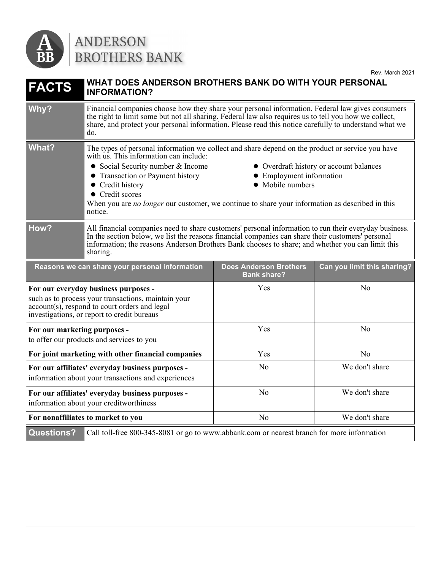

## ANDERSON<br>BROTHERS BANK

| <b>FACTS</b>                 | WHAT DOES ANDERSON BROTHERS BANK DO WITH YOUR PERSONAL<br><b>INFORMATION?</b>                                                                                                                                                                                                                                                                                                                                                                                       |                               |                             |
|------------------------------|---------------------------------------------------------------------------------------------------------------------------------------------------------------------------------------------------------------------------------------------------------------------------------------------------------------------------------------------------------------------------------------------------------------------------------------------------------------------|-------------------------------|-----------------------------|
| Why?                         | Financial companies choose how they share your personal information. Federal law gives consumers<br>the right to limit some but not all sharing. Federal law also requires us to tell you how we collect,<br>share, and protect your personal information. Please read this notice carefully to understand what we<br>do.                                                                                                                                           |                               |                             |
| <b>What?</b>                 | The types of personal information we collect and share depend on the product or service you have<br>with us. This information can include:<br>• Social Security number & Income<br>• Overdraft history or account balances<br>• Transaction or Payment history<br>• Employment information<br>• Credit history<br>• Mobile numbers<br>• Credit scores<br>When you are no longer our customer, we continue to share your information as described in this<br>notice. |                               |                             |
| How?                         | All financial companies need to share customers' personal information to run their everyday business.<br>In the section below, we list the reasons financial companies can share their customers' personal<br>information; the reasons Anderson Brothers Bank chooses to share; and whether you can limit this<br>sharing.                                                                                                                                          |                               |                             |
|                              | Reasons we can share your personal information                                                                                                                                                                                                                                                                                                                                                                                                                      | <b>Does Anderson Brothers</b> |                             |
|                              |                                                                                                                                                                                                                                                                                                                                                                                                                                                                     | <b>Bank share?</b>            | Can you limit this sharing? |
|                              | For our everyday business purposes -<br>such as to process your transactions, maintain your<br>account(s), respond to court orders and legal<br>investigations, or report to credit bureaus                                                                                                                                                                                                                                                                         | Yes                           | No                          |
| For our marketing purposes - | to offer our products and services to you                                                                                                                                                                                                                                                                                                                                                                                                                           | Yes                           | No                          |
|                              | For joint marketing with other financial companies                                                                                                                                                                                                                                                                                                                                                                                                                  | Yes                           | No                          |
|                              | For our affiliates' everyday business purposes -<br>information about your transactions and experiences                                                                                                                                                                                                                                                                                                                                                             | N <sub>o</sub>                | We don't share              |
|                              | For our affiliates' everyday business purposes -<br>information about your creditworthiness                                                                                                                                                                                                                                                                                                                                                                         | N <sub>o</sub>                | We don't share              |
|                              | For nonaffiliates to market to you                                                                                                                                                                                                                                                                                                                                                                                                                                  | N <sub>o</sub>                | We don't share              |